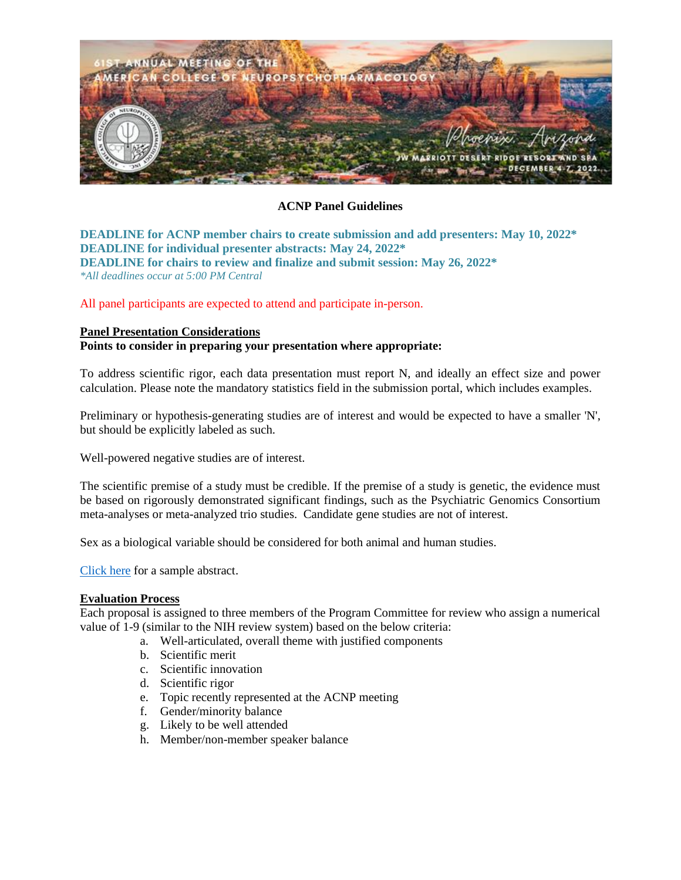

### **ACNP Panel Guidelines**

**DEADLINE for ACNP member chairs to create submission and add presenters: May 10, 2022\* DEADLINE for individual presenter abstracts: May 24, 2022\* DEADLINE for chairs to review and finalize and submit session: May 26, 2022\*** *\*All deadlines occur at 5:00 PM Central*

All panel participants are expected to attend and participate in-person.

#### **Panel Presentation Considerations**

### **Points to consider in preparing your presentation where appropriate:**

To address scientific rigor, each data presentation must report N, and ideally an effect size and power calculation. Please note the mandatory statistics field in the submission portal, which includes examples.

Preliminary or hypothesis-generating studies are of interest and would be expected to have a smaller 'N', but should be explicitly labeled as such.

Well-powered negative studies are of interest.

The scientific premise of a study must be credible. If the premise of a study is genetic, the evidence must be based on rigorously demonstrated significant findings, such as the Psychiatric Genomics Consortium meta-analyses or meta-analyzed trio studies. Candidate gene studies are not of interest.

Sex as a biological variable should be considered for both animal and human studies.

[Click here](http://pmg.joynadmin.org/documents/1001/604a9353ef0d26993f16a428.pdf) for a sample abstract.

#### **Evaluation Process**

Each proposal is assigned to three members of the Program Committee for review who assign a numerical value of 1-9 (similar to the NIH review system) based on the below criteria:

- a. Well-articulated, overall theme with justified components
- b. Scientific merit
- c. Scientific innovation
- d. Scientific rigor
- e. Topic recently represented at the ACNP meeting
- f. Gender/minority balance
- g. Likely to be well attended
- h. Member/non-member speaker balance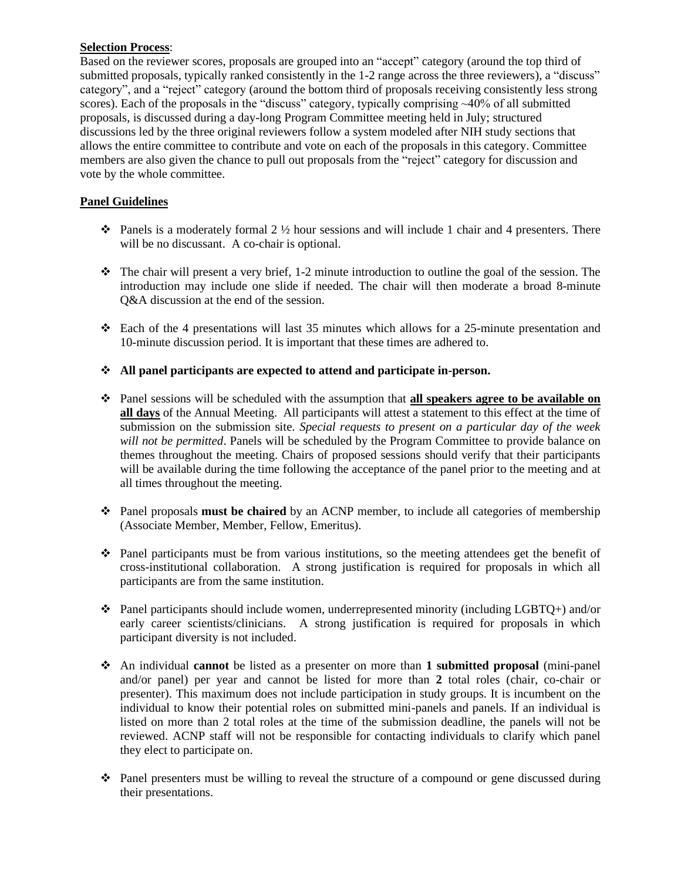### **Selection Process**:

Based on the reviewer scores, proposals are grouped into an "accept" category (around the top third of submitted proposals, typically ranked consistently in the 1-2 range across the three reviewers), a "discuss" category", and a "reject" category (around the bottom third of proposals receiving consistently less strong scores). Each of the proposals in the "discuss" category, typically comprising ~40% of all submitted proposals, is discussed during a day-long Program Committee meeting held in July; structured discussions led by the three original reviewers follow a system modeled after NIH study sections that allows the entire committee to contribute and vote on each of the proposals in this category. Committee members are also given the chance to pull out proposals from the "reject" category for discussion and vote by the whole committee.

# **Panel Guidelines**

- $\diamond$  Panels is a moderately formal 2 ½ hour sessions and will include 1 chair and 4 presenters. There will be no discussant. A co-chair is optional.
- $\cdot \cdot$  The chair will present a very brief, 1-2 minute introduction to outline the goal of the session. The introduction may include one slide if needed. The chair will then moderate a broad 8-minute Q&A discussion at the end of the session.
- ❖ Each of the 4 presentations will last 35 minutes which allows for a 25-minute presentation and 10-minute discussion period. It is important that these times are adhered to.

## ❖ **All panel participants are expected to attend and participate in-person.**

- ❖ Panel sessions will be scheduled with the assumption that **all speakers agree to be available on all days** of the Annual Meeting. All participants will attest a statement to this effect at the time of submission on the submission site. *Special requests to present on a particular day of the week will not be permitted*. Panels will be scheduled by the Program Committee to provide balance on themes throughout the meeting. Chairs of proposed sessions should verify that their participants will be available during the time following the acceptance of the panel prior to the meeting and at all times throughout the meeting.
- ❖ Panel proposals **must be chaired** by an ACNP member, to include all categories of membership (Associate Member, Member, Fellow, Emeritus).
- ❖ Panel participants must be from various institutions, so the meeting attendees get the benefit of cross-institutional collaboration. A strong justification is required for proposals in which all participants are from the same institution.
- ❖ Panel participants should include women, underrepresented minority (including LGBTQ+) and/or early career scientists/clinicians. A strong justification is required for proposals in which participant diversity is not included.
- ❖ An individual **cannot** be listed as a presenter on more than **1 submitted proposal** (mini-panel and/or panel) per year and cannot be listed for more than **2** total roles (chair, co-chair or presenter). This maximum does not include participation in study groups. It is incumbent on the individual to know their potential roles on submitted mini-panels and panels. If an individual is listed on more than 2 total roles at the time of the submission deadline, the panels will not be reviewed. ACNP staff will not be responsible for contacting individuals to clarify which panel they elect to participate on.
- ❖ Panel presenters must be willing to reveal the structure of a compound or gene discussed during their presentations.